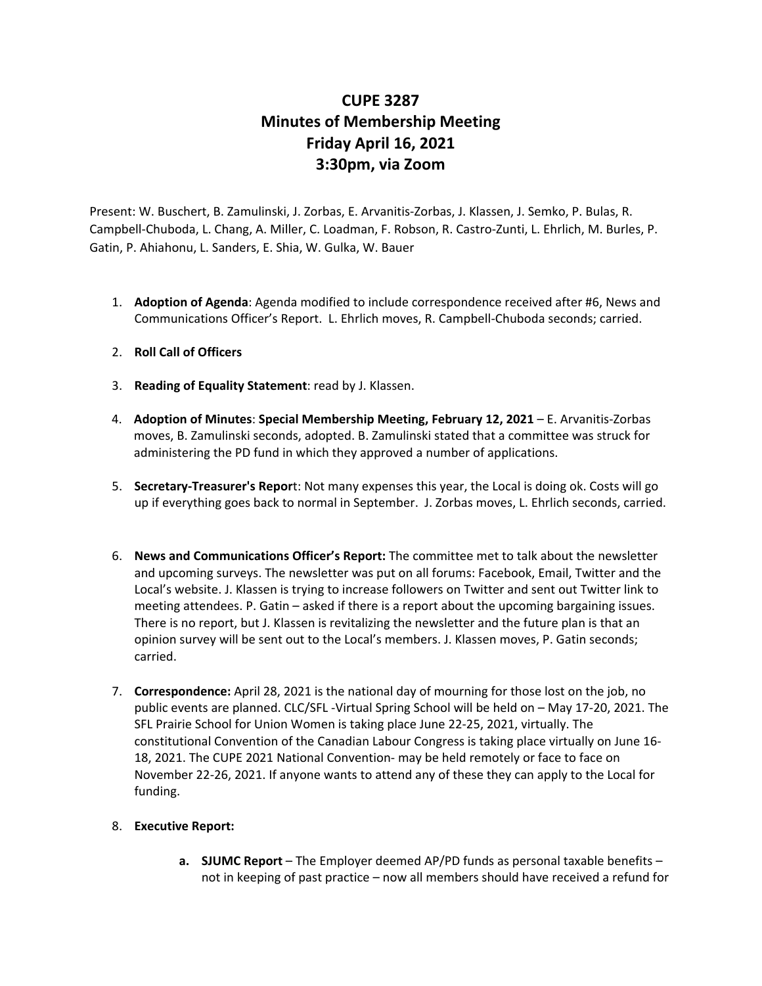## **CUPE 3287 Minutes of Membership Meeting Friday April 16, 2021 3:30pm, via Zoom**

Present: W. Buschert, B. Zamulinski, J. Zorbas, E. Arvanitis-Zorbas, J. Klassen, J. Semko, P. Bulas, R. Campbell-Chuboda, L. Chang, A. Miller, C. Loadman, F. Robson, R. Castro-Zunti, L. Ehrlich, M. Burles, P. Gatin, P. Ahiahonu, L. Sanders, E. Shia, W. Gulka, W. Bauer

- 1. **Adoption of Agenda**: Agenda modified to include correspondence received after #6, News and Communications Officer's Report. L. Ehrlich moves, R. Campbell-Chuboda seconds; carried.
- 2. **Roll Call of Officers**
- 3. **Reading of Equality Statement**: read by J. Klassen.
- 4. **Adoption of Minutes**: **Special Membership Meeting, February 12, 2021** E. Arvanitis-Zorbas moves, B. Zamulinski seconds, adopted. B. Zamulinski stated that a committee was struck for administering the PD fund in which they approved a number of applications.
- 5. **Secretary-Treasurer's Repor**t: Not many expenses this year, the Local is doing ok. Costs will go up if everything goes back to normal in September. J. Zorbas moves, L. Ehrlich seconds, carried.
- 6. **News and Communications Officer's Report:** The committee met to talk about the newsletter and upcoming surveys. The newsletter was put on all forums: Facebook, Email, Twitter and the Local's website. J. Klassen is trying to increase followers on Twitter and sent out Twitter link to meeting attendees. P. Gatin – asked if there is a report about the upcoming bargaining issues. There is no report, but J. Klassen is revitalizing the newsletter and the future plan is that an opinion survey will be sent out to the Local's members. J. Klassen moves, P. Gatin seconds; carried.
- 7. **Correspondence:** April 28, 2021 is the national day of mourning for those lost on the job, no public events are planned. CLC/SFL -Virtual Spring School will be held on – May 17-20, 2021. The SFL Prairie School for Union Women is taking place June 22-25, 2021, virtually. The constitutional Convention of the Canadian Labour Congress is taking place virtually on June 16- 18, 2021. The CUPE 2021 National Convention- may be held remotely or face to face on November 22-26, 2021. If anyone wants to attend any of these they can apply to the Local for funding.

## 8. **Executive Report:**

**a. SJUMC Report** – The Employer deemed AP/PD funds as personal taxable benefits – not in keeping of past practice – now all members should have received a refund for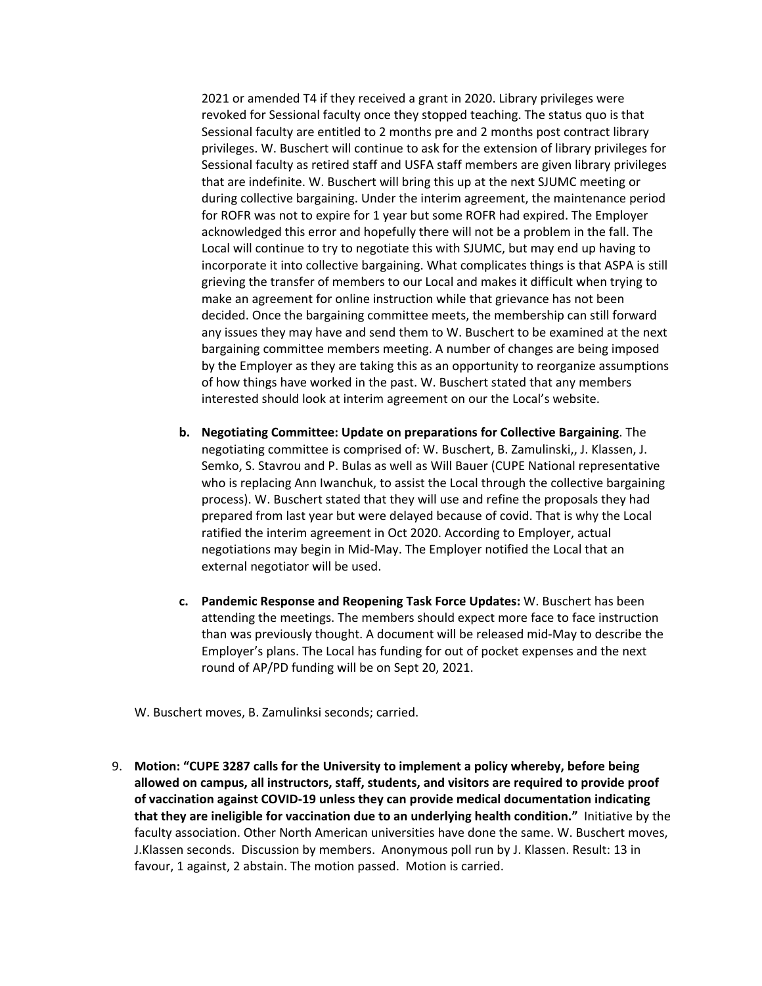2021 or amended T4 if they received a grant in 2020. Library privileges were revoked for Sessional faculty once they stopped teaching. The status quo is that Sessional faculty are entitled to 2 months pre and 2 months post contract library privileges. W. Buschert will continue to ask for the extension of library privileges for Sessional faculty as retired staff and USFA staff members are given library privileges that are indefinite. W. Buschert will bring this up at the next SJUMC meeting or during collective bargaining. Under the interim agreement, the maintenance period for ROFR was not to expire for 1 year but some ROFR had expired. The Employer acknowledged this error and hopefully there will not be a problem in the fall. The Local will continue to try to negotiate this with SJUMC, but may end up having to incorporate it into collective bargaining. What complicates things is that ASPA is still grieving the transfer of members to our Local and makes it difficult when trying to make an agreement for online instruction while that grievance has not been decided. Once the bargaining committee meets, the membership can still forward any issues they may have and send them to W. Buschert to be examined at the next bargaining committee members meeting. A number of changes are being imposed by the Employer as they are taking this as an opportunity to reorganize assumptions of how things have worked in the past. W. Buschert stated that any members interested should look at interim agreement on our the Local's website.

- **b. Negotiating Committee: Update on preparations for Collective Bargaining**. The negotiating committee is comprised of: W. Buschert, B. Zamulinski,, J. Klassen, J. Semko, S. Stavrou and P. Bulas as well as Will Bauer (CUPE National representative who is replacing Ann Iwanchuk, to assist the Local through the collective bargaining process). W. Buschert stated that they will use and refine the proposals they had prepared from last year but were delayed because of covid. That is why the Local ratified the interim agreement in Oct 2020. According to Employer, actual negotiations may begin in Mid-May. The Employer notified the Local that an external negotiator will be used.
- **c. Pandemic Response and Reopening Task Force Updates:** W. Buschert has been attending the meetings. The members should expect more face to face instruction than was previously thought. A document will be released mid-May to describe the Employer's plans. The Local has funding for out of pocket expenses and the next round of AP/PD funding will be on Sept 20, 2021.

W. Buschert moves, B. Zamulinksi seconds; carried.

9. **Motion: "CUPE 3287 calls for the University to implement a policy whereby, before being allowed on campus, all instructors, staff, students, and visitors are required to provide proof of vaccination against COVID-19 unless they can provide medical documentation indicating that they are ineligible for vaccination due to an underlying health condition."** Initiative by the faculty association. Other North American universities have done the same. W. Buschert moves, J.Klassen seconds. Discussion by members. Anonymous poll run by J. Klassen. Result: 13 in favour, 1 against, 2 abstain. The motion passed. Motion is carried.